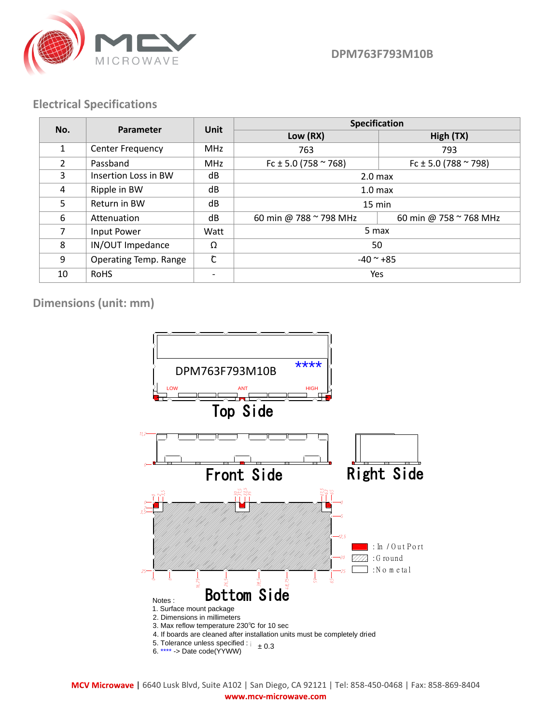

**DPM763F793M10B**

## **Electrical Specifications**

| No.            | <b>Parameter</b>        | Unit       | Specification                 |                               |
|----------------|-------------------------|------------|-------------------------------|-------------------------------|
|                |                         |            | Low (RX)                      | High (TX)                     |
| $\mathbf{1}$   | <b>Center Frequency</b> | <b>MHz</b> | 763                           | 793                           |
| $\mathfrak{D}$ | Passband                | <b>MHz</b> | Fc $\pm$ 5.0 (758 $\sim$ 768) | Fc $\pm$ 5.0 (788 $\sim$ 798) |
| 3              | Insertion Loss in BW    | dB         | 2.0 <sub>max</sub>            |                               |
| 4              | Ripple in BW            | dB         | 1.0 <sub>max</sub>            |                               |
| 5              | Return in BW            | dB         | $15 \text{ min}$              |                               |
| 6              | Attenuation             | dB         | 60 min @ 788 ~ 798 MHz        | 60 min @ 758 ~ 768 MHz        |
| 7              | Input Power             | Watt       | 5 max                         |                               |
| 8              | IN/OUT Impedance        | Ω          | 50                            |                               |
| 9              | Operating Temp. Range   | Ĉ          | $-40$ $\sim$ +85              |                               |
| 10             | <b>RoHS</b>             |            | Yes                           |                               |

**Dimensions (unit: mm)**



**|** 6640 Lusk Blvd, Suite A102 | San Diego, CA 92121 | Tel: 858-450-0468 | Fax: 858-869-8404 www.mcv-microwave.com